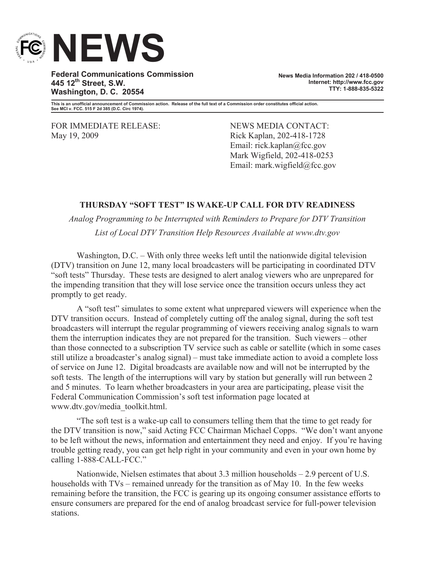

**Federal Communications Commission 445 12th Street, S.W. Washington, D. C. 20554**

**News Media Information 202 / 418-0500 Internet: http://www.fcc.gov TTY: 1-888-835-5322**

**This is an unofficial announcement of Commission action. Release of the full text of a Commission order constitutes official action. See MCI v. FCC. 515 F 2d 385 (D.C. Circ 1974).**

FOR IMMEDIATE RELEASE: NEWS MEDIA CONTACT: May 19, 2009 Rick Kaplan, 202-418-1728

Email: rick.kaplan@fcc.gov Mark Wigfield, 202-418-0253 Email: mark.wigfield@fcc.gov

## **THURSDAY "SOFT TEST" IS WAKE-UP CALL FOR DTV READINESS**

*Analog Programming to be Interrupted with Reminders to Prepare for DTV Transition List of Local DTV Transition Help Resources Available at www.dtv.gov*

Washington, D.C. – With only three weeks left until the nationwide digital television (DTV) transition on June 12, many local broadcasters will be participating in coordinated DTV "soft tests" Thursday. These tests are designed to alert analog viewers who are unprepared for the impending transition that they will lose service once the transition occurs unless they act promptly to get ready.

A "soft test" simulates to some extent what unprepared viewers will experience when the DTV transition occurs. Instead of completely cutting off the analog signal, during the soft test broadcasters will interrupt the regular programming of viewers receiving analog signals to warn them the interruption indicates they are not prepared for the transition. Such viewers – other than those connected to a subscription TV service such as cable or satellite (which in some cases still utilize a broadcaster's analog signal) – must take immediate action to avoid a complete loss of service on June 12. Digital broadcasts are available now and will not be interrupted by the soft tests. The length of the interruptions will vary by station but generally will run between 2 and 5 minutes. To learn whether broadcasters in your area are participating, please visit the Federal Communication Commission's soft test information page located at www.dtv.gov/media\_toolkit.html.

"The soft test is a wake-up call to consumers telling them that the time to get ready for the DTV transition is now," said Acting FCC Chairman Michael Copps. "We don't want anyone to be left without the news, information and entertainment they need and enjoy. If you're having trouble getting ready, you can get help right in your community and even in your own home by calling 1-888-CALL-FCC."

Nationwide, Nielsen estimates that about 3.3 million households – 2.9 percent of U.S. households with TVs – remained unready for the transition as of May 10. In the few weeks remaining before the transition, the FCC is gearing up its ongoing consumer assistance efforts to ensure consumers are prepared for the end of analog broadcast service for full-power television stations.